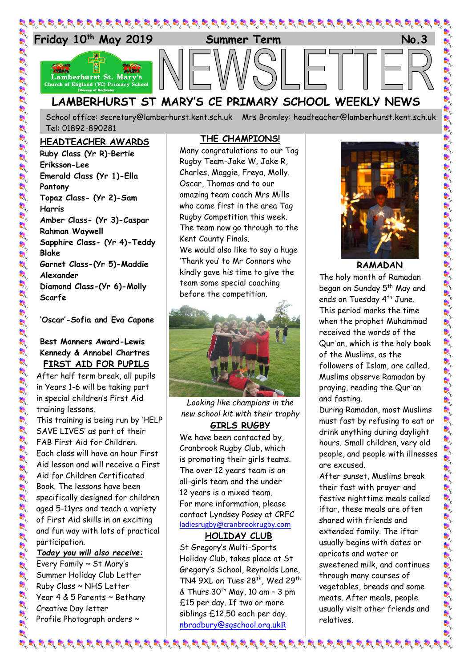

School office: [secretary@lamberhurst.kent.sch.uk](mailto:secretary@lamberhurst.kent.sch.uk) Mrs Bromley: headteacher@lamberhurst.kent.sch.uk Tel: 01892-890281

#### **HEADTEACHER AWARDS**

**Ruby Class (Yr R)–Bertie Eriksson-Lee Emerald Class (Yr 1)-Ella Pantony Topaz Class- (Yr 2)-Sam Harris Amber Class- (Yr 3)-Caspar Rahman Waywell Sapphire Class- (Yr 4)-Teddy Blake Garnet Class-(Yr 5)-Maddie Alexander Diamond Class-(Yr 6)-Molly Scarfe**

**'Oscar'-Sofia and Eva Capone**

### **Best Manners Award-Lewis Kennedy & Annabel Chartres FIRST AID FOR PUPILS**

After half term break, all pupils in Years 1-6 will be taking part in special children's First Aid training lessons.

This training is being run by 'HELP SAVE LIVES' as part of their FAB First Aid for Children. Each class will have an hour First Aid lesson and will receive a First Aid for Children Certificated Book. The lessons have been specifically designed for children aged 5-11yrs and teach a variety of First Aid skills in an exciting and fun way with lots of practical participation.

*Today you will also receive:*

Every Family ~ St Mary's Summer Holiday Club Letter Ruby Class ~ NHS Letter Year 4 & 5 Parents ~ Bethany Creative Day letter Profile Photograph orders ~

#### **THE CHAMPIONS!**

Many congratulations to our Tag Rugby Team-Jake W, Jake R, Charles, Maggie, Freya, Molly. Oscar, Thomas and to our amazing team coach Mrs Mills who came first in the area Tag Rugby Competition this week. The team now go through to the Kent County Finals.

We would also like to say a huge 'Thank you' to Mr Connors who kindly gave his time to give the team some special coaching before the competition.



*Looking like champions in the new school kit with their trophy* **GIRLS RUGBY**

We have been contacted by, Cranbrook Rugby Club, which is promoting their girls teams. The over 12 years team is an all-girls team and the under 12 years is a mixed team. For more information, please contact Lyndsey Posey at CRFC [ladiesrugby@cranbrookrugby.com](mailto:ladiesrugby@cranbrookrugby.com)

**HOLIDAY CLUB**

St Gregory's Multi-Sports Holiday Club, takes place at St Gregory's School, Reynolds Lane, TN4 9XL on Tues 28<sup>th</sup>, Wed 29<sup>th</sup>  $\&$  Thurs 30<sup>th</sup> May, 10 am - 3 pm £15 per day. If two or more siblings £12.50 each per day. [nbradbury@sgschool.org.uk](mailto:nbradbury@sgschool.org.ukR)R



# **RAMADAN**

The holy month of Ramadan began on Sunday 5<sup>th</sup> May and ends on Tuesday 4<sup>th</sup> June. This period marks the time when the prophet Muhammad received the words of the Qurʾan, which is the holy book of the Muslims, as the followers of Islam, are called. Muslims observe Ramadan by praying, reading the Qurʾan and fasting.

During Ramadan, most Muslims must fast by refusing to eat or drink anything during daylight hours. Small children, very old people, and people with illnesses are excused.

After sunset, Muslims break their fast with prayer and festive nighttime meals called iftar, these meals are often shared with friends and extended family. The iftar usually begins with dates or apricots and water or sweetened milk, and continues through many courses of vegetables, breads and some meats. After meals, people usually visit other friends and relatives.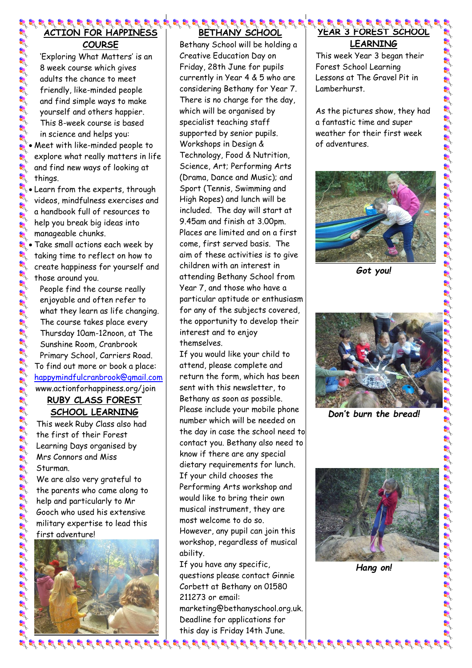#### 8 8 8 8 8 8 8 8 8 9 9 1 **ACTION FOR HAPPINESS COURSE**

'Exploring What Matters' is an 8 week course which gives adults the chance to meet friendly, like-minded people and find simple ways to make yourself and others happier. This 8-week course is based in science and helps you:

- Meet with like-minded people to explore what really matters in life and find new ways of looking at things.
- $\mathcal{L}$  Learn from the experts, through videos, mindfulness exercises and a handbook full of resources to help you break big ideas into manageable chunks.
	- Take small actions each week by taking time to reflect on how to create happiness for yourself and those around you.
		- People find the course really enjoyable and often refer to what they learn as life changing. The course takes place every Thursday 10am-12noon, at The Sunshine Room, Cranbrook Primary School, Carriers Road. To find out more or book a place: [happymindfulcranbrook@gmail.com](mailto:happymindfulcranbrook@gmail.com) www.actionforhappiness.org/join

## **RUBY CLASS FOREST SCHOOL LEARNING**

This week Ruby Class also had the first of their Forest Learning Days organised by Mrs Connors and Miss Sturman.

We are also very grateful to the parents who came along to help and particularly to Mr Gooch who used his extensive military expertise to lead this first adventure!



# **BETHANY SCHOOL**

Bethany School will be holding a Creative Education Day on Friday, 28th June for pupils currently in Year 4 & 5 who are considering Bethany for Year 7. There is no charge for the day, which will be organised by specialist teaching staff supported by senior pupils. Workshops in Design & Technology, Food & Nutrition, Science, Art; Performing Arts (Drama, Dance and Music); and Sport (Tennis, Swimming and High Ropes) and lunch will be included. The day will start at 9.45am and finish at 3.00pm. Places are limited and on a first come, first served basis. The aim of these activities is to give children with an interest in attending Bethany School from Year 7, and those who have a particular aptitude or enthusiasm for any of the subjects covered, the opportunity to develop their interest and to enjoy themselves.

If you would like your child to attend, please complete and return the form, which has been sent with this newsletter, to Bethany as soon as possible. Please include your mobile phone number which will be needed on the day in case the school need to contact you. Bethany also need to know if there are any special dietary requirements for lunch. If your child chooses the Performing Arts workshop and would like to bring their own musical instrument, they are most welcome to do so. However, any pupil can join this workshop, regardless of musical ability.

If you have any specific, questions please contact Ginnie Corbett at Bethany on 01580 211273 or email:

marketing@bethanyschool.org.uk. Deadline for applications for this day is Friday 14th June.

#### **YEAR 3 FOREST SCHOOL LEARNING**

This week Year 3 began their Forest School Learning Lessons at The Gravel Pit in Lamberhurst.

As the pictures show, they had a fantastic time and super weather for their first week of adventures.



*Got you!*



*Don't burn the bread!*



*Hang on!*